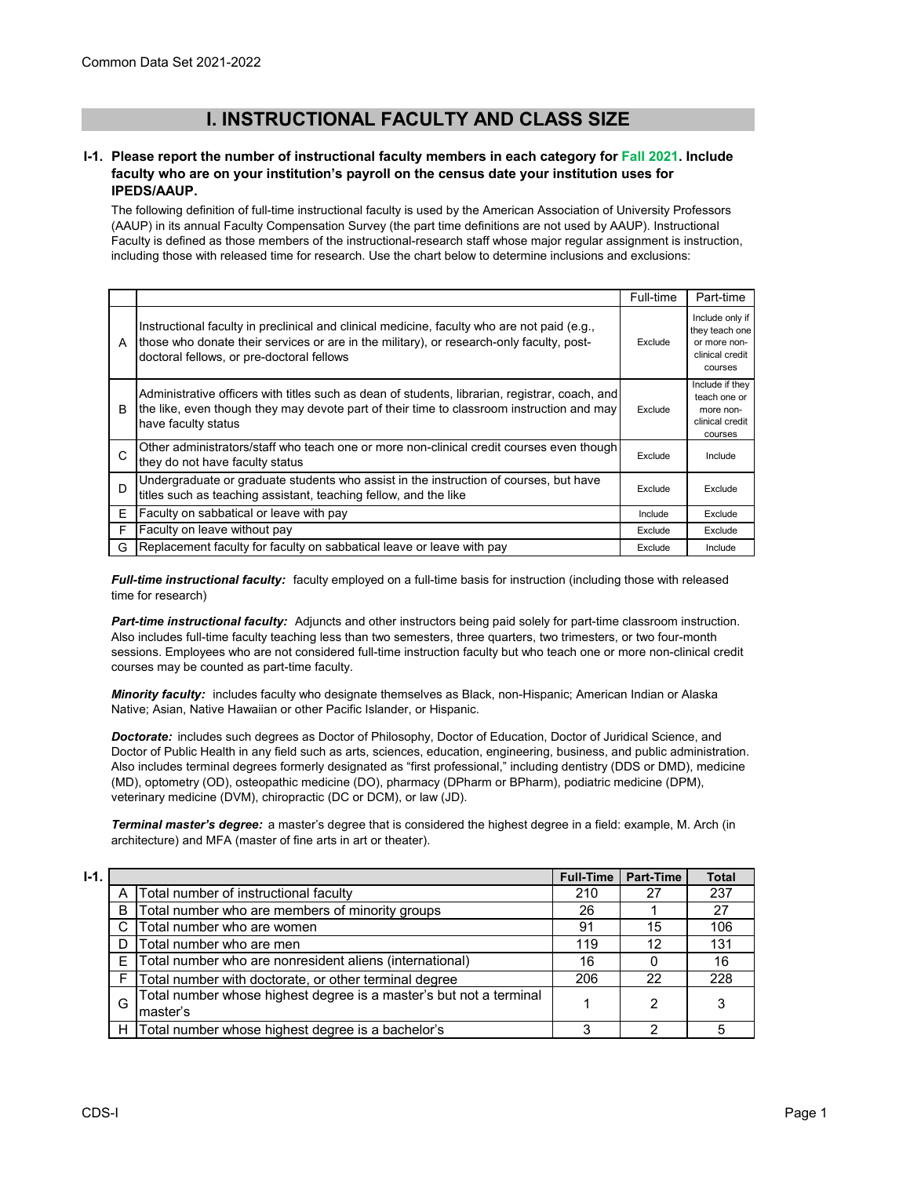# **I. INSTRUCTIONAL FACULTY AND CLASS SIZE**

### **I-1. Please report the number of instructional faculty members in each category for Fall 2021. Include faculty who are on your institution's payroll on the census date your institution uses for IPEDS/AAUP.**

The following definition of full-time instructional faculty is used by the American Association of University Professors (AAUP) in its annual Faculty Compensation Survey (the part time definitions are not used by AAUP). Instructional Faculty is defined as those members of the instructional-research staff whose major regular assignment is instruction, including those with released time for research. Use the chart below to determine inclusions and exclusions:

|   |                                                                                                                                                                                                                                      | Full-time | Part-time                                                                       |
|---|--------------------------------------------------------------------------------------------------------------------------------------------------------------------------------------------------------------------------------------|-----------|---------------------------------------------------------------------------------|
| A | Instructional faculty in preclinical and clinical medicine, faculty who are not paid (e.g.,<br>those who donate their services or are in the military), or research-only faculty, post-<br>doctoral fellows, or pre-doctoral fellows | Exclude   | Include only if<br>they teach one<br>or more non-<br>clinical credit<br>courses |
| B | Administrative officers with titles such as dean of students, librarian, registrar, coach, and<br>the like, even though they may devote part of their time to classroom instruction and may<br>have faculty status                   | Exclude   | Include if they<br>teach one or<br>more non-<br>clinical credit<br>courses      |
| C | Other administrators/staff who teach one or more non-clinical credit courses even though<br>they do not have faculty status                                                                                                          | Exclude   | Include                                                                         |
| D | Undergraduate or graduate students who assist in the instruction of courses, but have<br>titles such as teaching assistant, teaching fellow, and the like                                                                            | Exclude   | Exclude                                                                         |
| Е | Faculty on sabbatical or leave with pay                                                                                                                                                                                              | Include   | Exclude                                                                         |
| F | Faculty on leave without pay                                                                                                                                                                                                         | Exclude   | Exclude                                                                         |
| G | Replacement faculty for faculty on sabbatical leave or leave with pay                                                                                                                                                                | Exclude   | Include                                                                         |

*Full-time instructional faculty:* faculty employed on a full-time basis for instruction (including those with released time for research)

*Part-time instructional faculty:* Adjuncts and other instructors being paid solely for part-time classroom instruction. Also includes full-time faculty teaching less than two semesters, three quarters, two trimesters, or two four-month sessions. Employees who are not considered full-time instruction faculty but who teach one or more non-clinical credit courses may be counted as part-time faculty.

*Minority faculty:* includes faculty who designate themselves as Black, non-Hispanic; American Indian or Alaska Native; Asian, Native Hawaiian or other Pacific Islander, or Hispanic.

*Doctorate:* includes such degrees as Doctor of Philosophy, Doctor of Education, Doctor of Juridical Science, and Doctor of Public Health in any field such as arts, sciences, education, engineering, business, and public administration. Also includes terminal degrees formerly designated as "first professional," including dentistry (DDS or DMD), medicine (MD), optometry (OD), osteopathic medicine (DO), pharmacy (DPharm or BPharm), podiatric medicine (DPM), veterinary medicine (DVM), chiropractic (DC or DCM), or law (JD).

*Terminal master's degree:* a master's degree that is considered the highest degree in a field: example, M. Arch (in architecture) and MFA (master of fine arts in art or theater).

| $I-1.$ |   |                                                                                | <b>Full-Time</b> | <b>Part-Time</b>  | <b>Total</b> |
|--------|---|--------------------------------------------------------------------------------|------------------|-------------------|--------------|
|        |   | Total number of instructional faculty                                          | 210              | 27                | 237          |
|        | B | Total number who are members of minority groups                                | 26               |                   | 27           |
|        | С | Total number who are women                                                     | 91               | 15                | 106          |
|        | D | Total number who are men                                                       | 119              | $12 \overline{ }$ | 131          |
|        | F | Total number who are nonresident aliens (international)                        | 16               |                   | 16           |
|        |   | Total number with doctorate, or other terminal degree                          | 206              | 22                | 228          |
|        | G | Total number whose highest degree is a master's but not a terminal<br>master's |                  | 2                 |              |
|        | н | Total number whose highest degree is a bachelor's                              | 3                | っ                 |              |